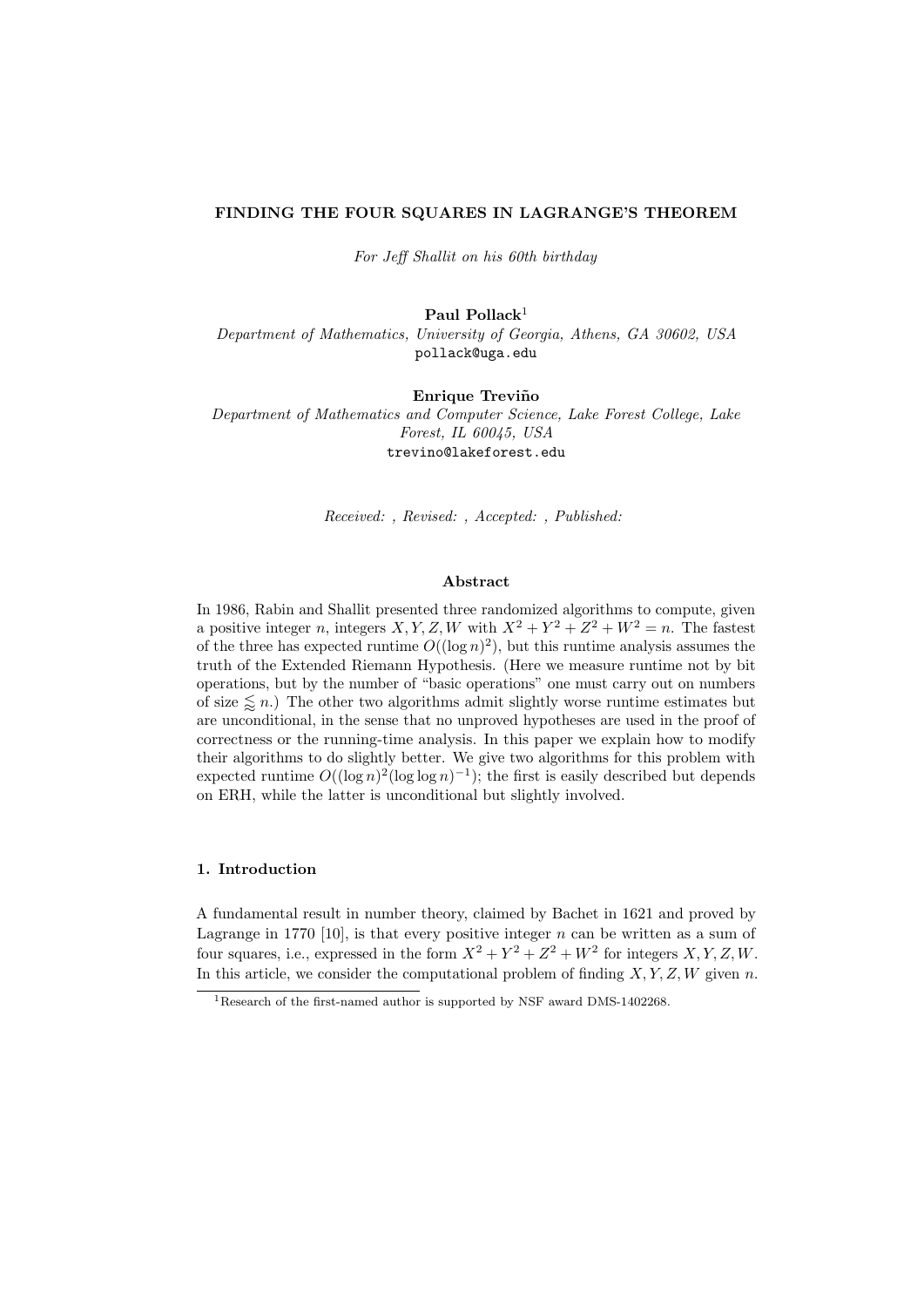# FINDING THE FOUR SQUARES IN LAGRANGE'S THEOREM

For Jeff Shallit on his 60th birthday

Paul Pollack $1$ 

Department of Mathematics, University of Georgia, Athens, GA 30602, USA pollack@uga.edu

Enrique Treviño

Department of Mathematics and Computer Science, Lake Forest College, Lake Forest, IL 60045, USA trevino@lakeforest.edu

Received: , Revised: , Accepted: , Published:

## Abstract

In 1986, Rabin and Shallit presented three randomized algorithms to compute, given a positive integer n, integers  $X, Y, Z, W$  with  $X^2 + Y^2 + Z^2 + W^2 = n$ . The fastest of the three has expected runtime  $O((\log n)^2)$ , but this runtime analysis assumes the truth of the Extended Riemann Hypothesis. (Here we measure runtime not by bit operations, but by the number of "basic operations" one must carry out on numbers of size  $\leq n$ .) The other two algorithms admit slightly worse runtime estimates but are unconditional, in the sense that no unproved hypotheses are used in the proof of correctness or the running-time analysis. In this paper we explain how to modify their algorithms to do slightly better. We give two algorithms for this problem with expected runtime  $O((\log n)^2(\log \log n)^{-1})$ ; the first is easily described but depends on ERH, while the latter is unconditional but slightly involved.

# 1. Introduction

A fundamental result in number theory, claimed by Bachet in 1621 and proved by Lagrange in 1770 [10], is that every positive integer  $n$  can be written as a sum of four squares, i.e., expressed in the form  $X^2 + Y^2 + Z^2 + W^2$  for integers  $X, Y, Z, W$ . In this article, we consider the computational problem of finding  $X, Y, Z, W$  given n.

<sup>&</sup>lt;sup>1</sup>Research of the first-named author is supported by NSF award DMS-1402268.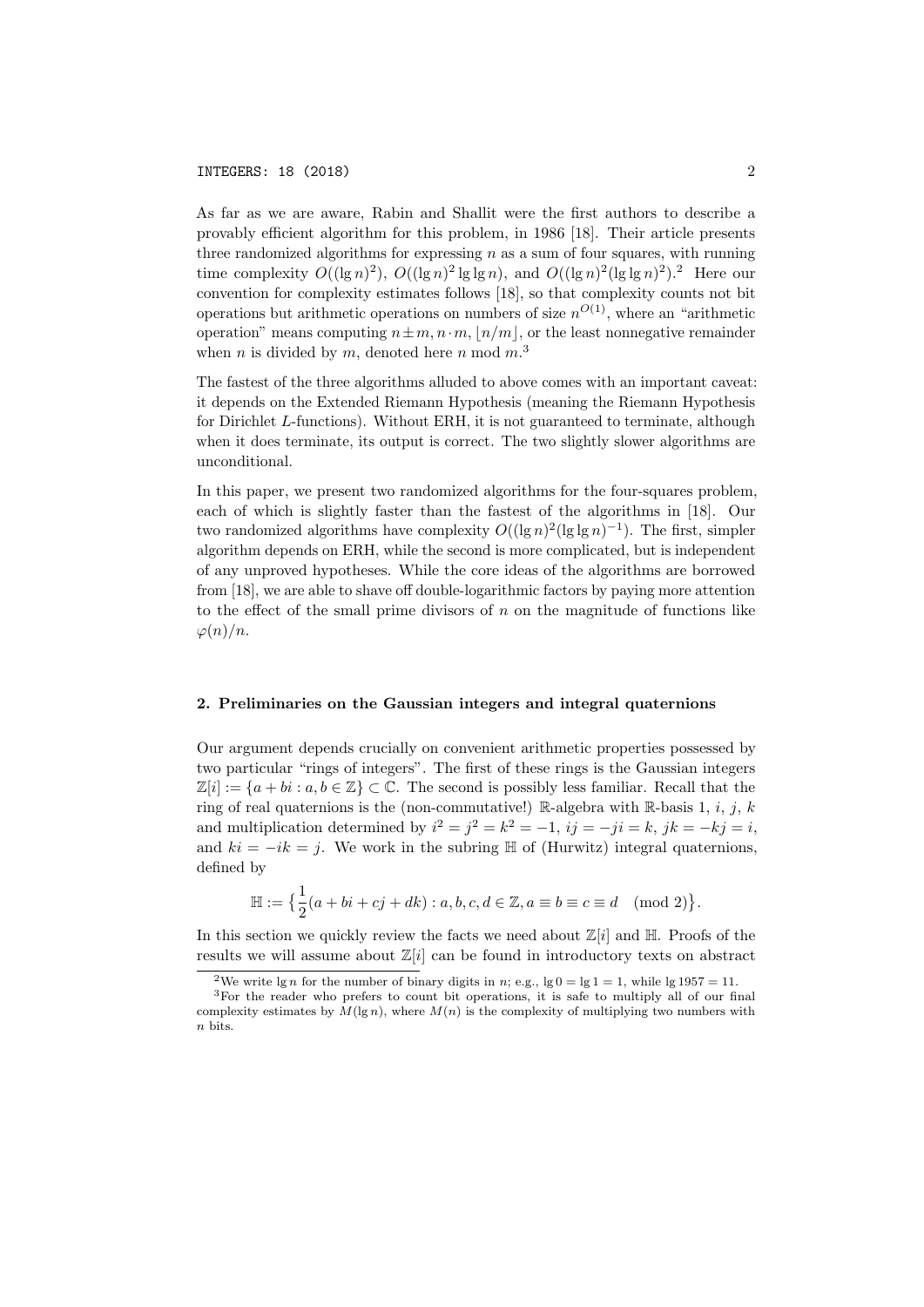As far as we are aware, Rabin and Shallit were the first authors to describe a provably efficient algorithm for this problem, in 1986 [18]. Their article presents three randomized algorithms for expressing  $n$  as a sum of four squares, with running time complexity  $O((\lg n)^2)$ ,  $O((\lg n)^2 \lg \lg n)$ , and  $O((\lg n)^2 (\lg \lg n)^2)$ .<sup>2</sup> Here our convention for complexity estimates follows [18], so that complexity counts not bit operations but arithmetic operations on numbers of size  $n^{O(1)}$ , where an "arithmetic operation" means computing  $n \pm m, n \cdot m, |n/m|$ , or the least nonnegative remainder when *n* is divided by *m*, denoted here *n* mod  $m$ <sup>3</sup>.

The fastest of the three algorithms alluded to above comes with an important caveat: it depends on the Extended Riemann Hypothesis (meaning the Riemann Hypothesis for Dirichlet L-functions). Without ERH, it is not guaranteed to terminate, although when it does terminate, its output is correct. The two slightly slower algorithms are unconditional.

In this paper, we present two randomized algorithms for the four-squares problem, each of which is slightly faster than the fastest of the algorithms in [18]. Our two randomized algorithms have complexity  $O((\lg n)^2(\lg \lg n)^{-1})$ . The first, simpler algorithm depends on ERH, while the second is more complicated, but is independent of any unproved hypotheses. While the core ideas of the algorithms are borrowed from [18], we are able to shave off double-logarithmic factors by paying more attention to the effect of the small prime divisors of  $n$  on the magnitude of functions like  $\varphi(n)/n$ .

#### 2. Preliminaries on the Gaussian integers and integral quaternions

Our argument depends crucially on convenient arithmetic properties possessed by two particular "rings of integers". The first of these rings is the Gaussian integers  $\mathbb{Z}[i] := \{a + bi : a, b \in \mathbb{Z}\} \subset \mathbb{C}$ . The second is possibly less familiar. Recall that the ring of real quaternions is the (non-commutative!) R-algebra with R-basis 1, i, j, k and multiplication determined by  $i^2 = j^2 = k^2 = -1$ ,  $ij = -ji = k$ ,  $jk = -kj = i$ , and  $ki = -ik = j$ . We work in the subring  $H$  of (Hurwitz) integral quaternions, defined by

$$
\mathbb{H} := \{ \frac{1}{2}(a + bi + cj + dk) : a, b, c, d \in \mathbb{Z}, a \equiv b \equiv c \equiv d \pmod{2} \}.
$$

In this section we quickly review the facts we need about  $\mathbb{Z}[i]$  and  $\mathbb{H}$ . Proofs of the results we will assume about  $\mathbb{Z}[i]$  can be found in introductory texts on abstract

<sup>&</sup>lt;sup>2</sup>We write lg *n* for the number of binary digits in *n*; e.g.,  $\lg 0 = \lg 1 = 1$ , while  $\lg 1957 = 11$ .

<sup>3</sup>For the reader who prefers to count bit operations, it is safe to multiply all of our final complexity estimates by  $M(\lg n)$ , where  $M(n)$  is the complexity of multiplying two numbers with n bits.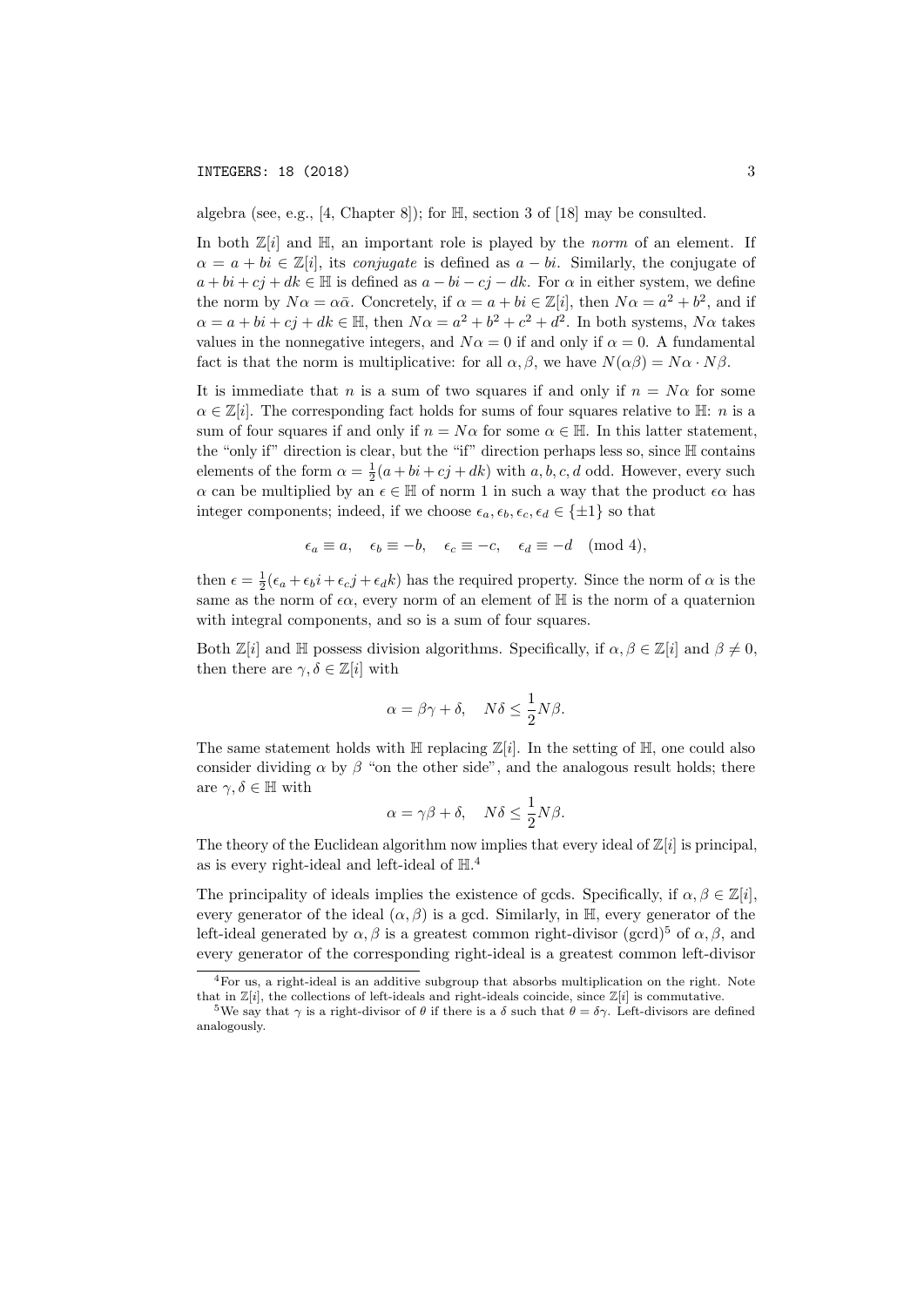algebra (see, e.g., [4, Chapter 8]); for H, section 3 of [18] may be consulted.

In both  $\mathbb{Z}[i]$  and  $\mathbb{H}$ , an important role is played by the *norm* of an element. If  $\alpha = a + bi \in \mathbb{Z}[i]$ , its *conjugate* is defined as  $a - bi$ . Similarly, the conjugate of  $a + bi + cj + dk \in \mathbb{H}$  is defined as  $a - bi - cj - dk$ . For  $\alpha$  in either system, we define the norm by  $N\alpha = \alpha \bar{\alpha}$ . Concretely, if  $\alpha = a + bi \in \mathbb{Z}[i]$ , then  $N\alpha = a^2 + b^2$ , and if  $\alpha = a + bi + cj + dk \in \mathbb{H}$ , then  $N\alpha = a^2 + b^2 + c^2 + d^2$ . In both systems,  $N\alpha$  takes values in the nonnegative integers, and  $N\alpha = 0$  if and only if  $\alpha = 0$ . A fundamental fact is that the norm is multiplicative: for all  $\alpha, \beta$ , we have  $N(\alpha\beta) = N\alpha \cdot N\beta$ .

It is immediate that n is a sum of two squares if and only if  $n = N\alpha$  for some  $\alpha \in \mathbb{Z}[i]$ . The corresponding fact holds for sums of four squares relative to  $\mathbb{H}$ : *n* is a sum of four squares if and only if  $n = N\alpha$  for some  $\alpha \in \mathbb{H}$ . In this latter statement, the "only if" direction is clear, but the "if" direction perhaps less so, since H contains elements of the form  $\alpha = \frac{1}{2}(a + bi + cj + dk)$  with a, b, c, d odd. However, every such  $\alpha$  can be multiplied by an  $\epsilon \in \mathbb{H}$  of norm 1 in such a way that the product  $\epsilon \alpha$  has integer components; indeed, if we choose  $\epsilon_a, \epsilon_b, \epsilon_c, \epsilon_d \in \{\pm 1\}$  so that

$$
\epsilon_a \equiv a, \quad \epsilon_b \equiv -b, \quad \epsilon_c \equiv -c, \quad \epsilon_d \equiv -d \pmod{4},
$$

then  $\epsilon = \frac{1}{2}(\epsilon_a + \epsilon_b i + \epsilon_c j + \epsilon_d k)$  has the required property. Since the norm of  $\alpha$  is the same as the norm of  $\epsilon \alpha$ , every norm of an element of  $\mathbb H$  is the norm of a quaternion with integral components, and so is a sum of four squares.

Both  $\mathbb{Z}[i]$  and  $\mathbb{H}$  possess division algorithms. Specifically, if  $\alpha, \beta \in \mathbb{Z}[i]$  and  $\beta \neq 0$ , then there are  $\gamma, \delta \in \mathbb{Z}[i]$  with

$$
\alpha = \beta \gamma + \delta, \quad N\delta \le \frac{1}{2}N\beta.
$$

The same statement holds with  $\mathbb H$  replacing  $\mathbb Z[i]$ . In the setting of  $\mathbb H$ , one could also consider dividing  $\alpha$  by  $\beta$  "on the other side", and the analogous result holds; there are  $\gamma, \delta \in \mathbb{H}$  with

$$
\alpha = \gamma \beta + \delta, \quad N\delta \le \frac{1}{2}N\beta.
$$

The theory of the Euclidean algorithm now implies that every ideal of  $\mathbb{Z}[i]$  is principal, as is every right-ideal and left-ideal of  $H<sup>4</sup>$ .

The principality of ideals implies the existence of gcds. Specifically, if  $\alpha, \beta \in \mathbb{Z}[i]$ , every generator of the ideal  $(\alpha, \beta)$  is a gcd. Similarly, in H, every generator of the left-ideal generated by  $\alpha, \beta$  is a greatest common right-divisor (gcrd)<sup>5</sup> of  $\alpha, \beta$ , and every generator of the corresponding right-ideal is a greatest common left-divisor

<sup>4</sup>For us, a right-ideal is an additive subgroup that absorbs multiplication on the right. Note that in  $\mathbb{Z}[i]$ , the collections of left-ideals and right-ideals coincide, since  $\mathbb{Z}[i]$  is commutative.

<sup>&</sup>lt;sup>5</sup>We say that  $\gamma$  is a right-divisor of  $\theta$  if there is a  $\delta$  such that  $\theta = \delta \gamma$ . Left-divisors are defined analogously.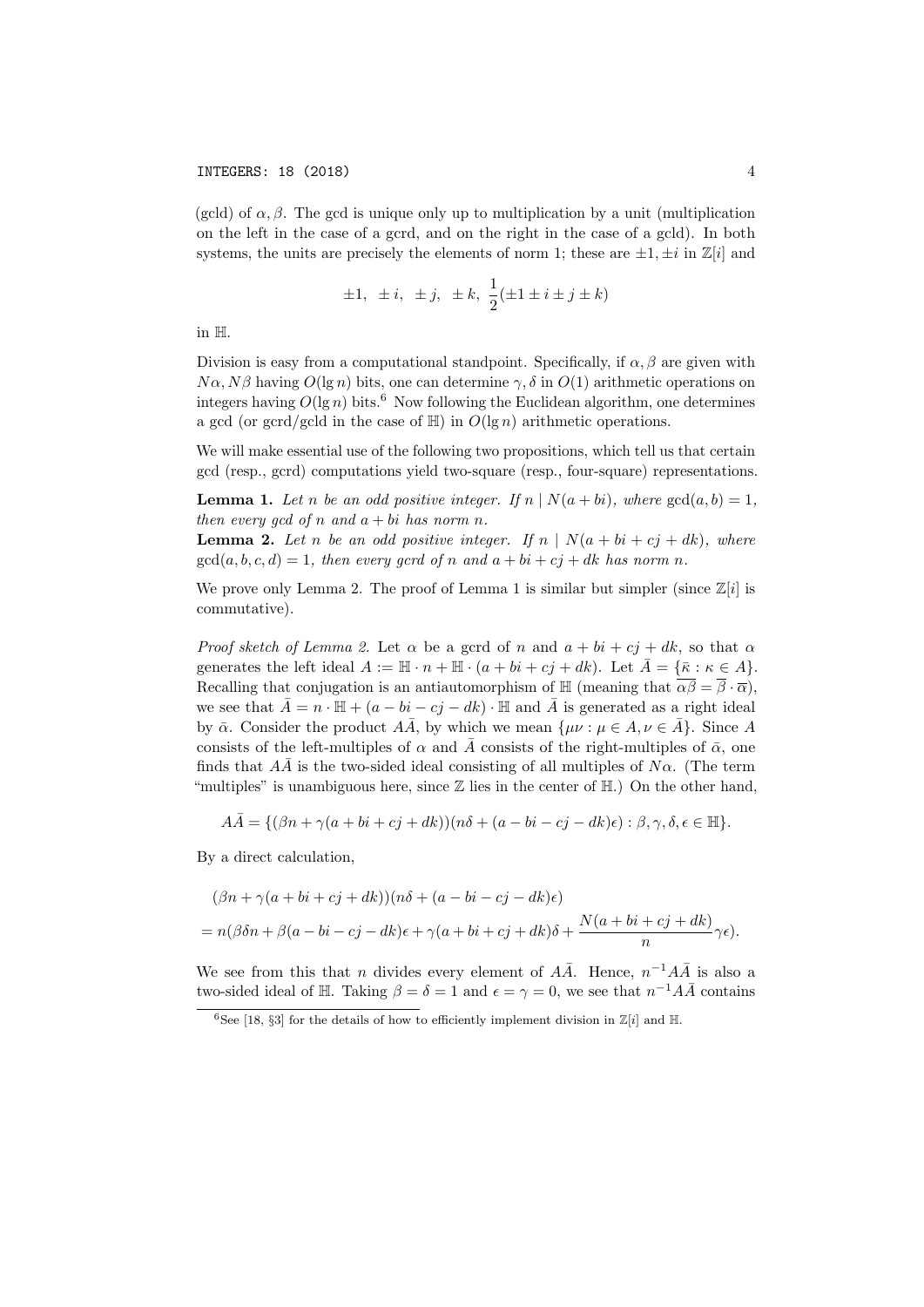(gcld) of  $\alpha$ ,  $\beta$ . The gcd is unique only up to multiplication by a unit (multiplication on the left in the case of a gcrd, and on the right in the case of a gcld). In both systems, the units are precisely the elements of norm 1; these are  $\pm 1, \pm i$  in  $\mathbb{Z}[i]$  and

$$
\pm 1, \ \pm i, \ \pm j, \ \pm k, \ \frac{1}{2}(\pm 1 \pm i \pm j \pm k)
$$

in H.

Division is easy from a computational standpoint. Specifically, if  $\alpha, \beta$  are given with  $N\alpha$ ,  $N\beta$  having  $O(\lg n)$  bits, one can determine  $\gamma$ ,  $\delta$  in  $O(1)$  arithmetic operations on integers having  $O(\lg n)$  bits.<sup>6</sup> Now following the Euclidean algorithm, one determines a gcd (or gcrd/gcld in the case of  $\mathbb{H}$ ) in  $O(\lg n)$  arithmetic operations.

We will make essential use of the following two propositions, which tell us that certain gcd (resp., gcrd) computations yield two-square (resp., four-square) representations.

**Lemma 1.** Let n be an odd positive integer. If  $n \mid N(a + bi)$ , where  $gcd(a, b) = 1$ , then every gcd of n and  $a + bi$  has norm n.

**Lemma 2.** Let n be an odd positive integer. If  $n | N(a + bi + cj + dk)$ , where  $gcd(a, b, c, d) = 1$ , then every gcrd of n and  $a + bi + cj + dk$  has norm n.

We prove only Lemma 2. The proof of Lemma 1 is similar but simpler (since  $\mathbb{Z}[i]$  is commutative).

*Proof sketch of Lemma 2.* Let  $\alpha$  be a gcrd of n and  $a + bi + cj + dk$ , so that  $\alpha$ generates the left ideal  $A := \mathbb{H} \cdot n + \mathbb{H} \cdot (a + bi + cj + dk)$ . Let  $\bar{A} = {\bar{\kappa} : \kappa \in A}.$ Recalling that conjugation is an antiautomorphism of  $\mathbb{H}$  (meaning that  $\overline{\alpha\beta} = \overline{\beta} \cdot \overline{\alpha}$ ), we see that  $\bar{A} = n \cdot \mathbb{H} + (a - bi - cj - dk) \cdot \mathbb{H}$  and  $\bar{A}$  is generated as a right ideal by  $\bar{\alpha}$ . Consider the product AA, by which we mean  $\{\mu\nu : \mu \in A, \nu \in A\}$ . Since A consists of the left-multiples of  $\alpha$  and  $\bar{A}$  consists of the right-multiples of  $\bar{\alpha}$ , one finds that  $A\overline{A}$  is the two-sided ideal consisting of all multiples of N $\alpha$ . (The term "multiples" is unambiguous here, since  $\mathbb Z$  lies in the center of  $\mathbb H$ .) On the other hand,

$$
A\overline{A} = \{(\beta n + \gamma(a + bi + cj + dk))(n\delta + (a - bi - cj - dk)\epsilon) : \beta, \gamma, \delta, \epsilon \in \mathbb{H}\}.
$$

By a direct calculation,

$$
(\beta n + \gamma(a + bi + cj + dk))(n\delta + (a - bi - cj - dk)\epsilon)
$$
  
=  $n(\beta \delta n + \beta(a - bi - cj - dk)\epsilon + \gamma(a + bi + cj + dk)\delta + \frac{N(a + bi + cj + dk)}{n}\gamma\epsilon).$ 

We see from this that n divides every element of  $A\overline{A}$ . Hence,  $n^{-1}A\overline{A}$  is also a two-sided ideal of H. Taking  $\beta = \delta = 1$  and  $\epsilon = \gamma = 0$ , we see that  $n^{-1}A\overline{A}$  contains

<sup>&</sup>lt;sup>6</sup>See [18, §3] for the details of how to efficiently implement division in  $\mathbb{Z}[i]$  and  $\mathbb{H}$ .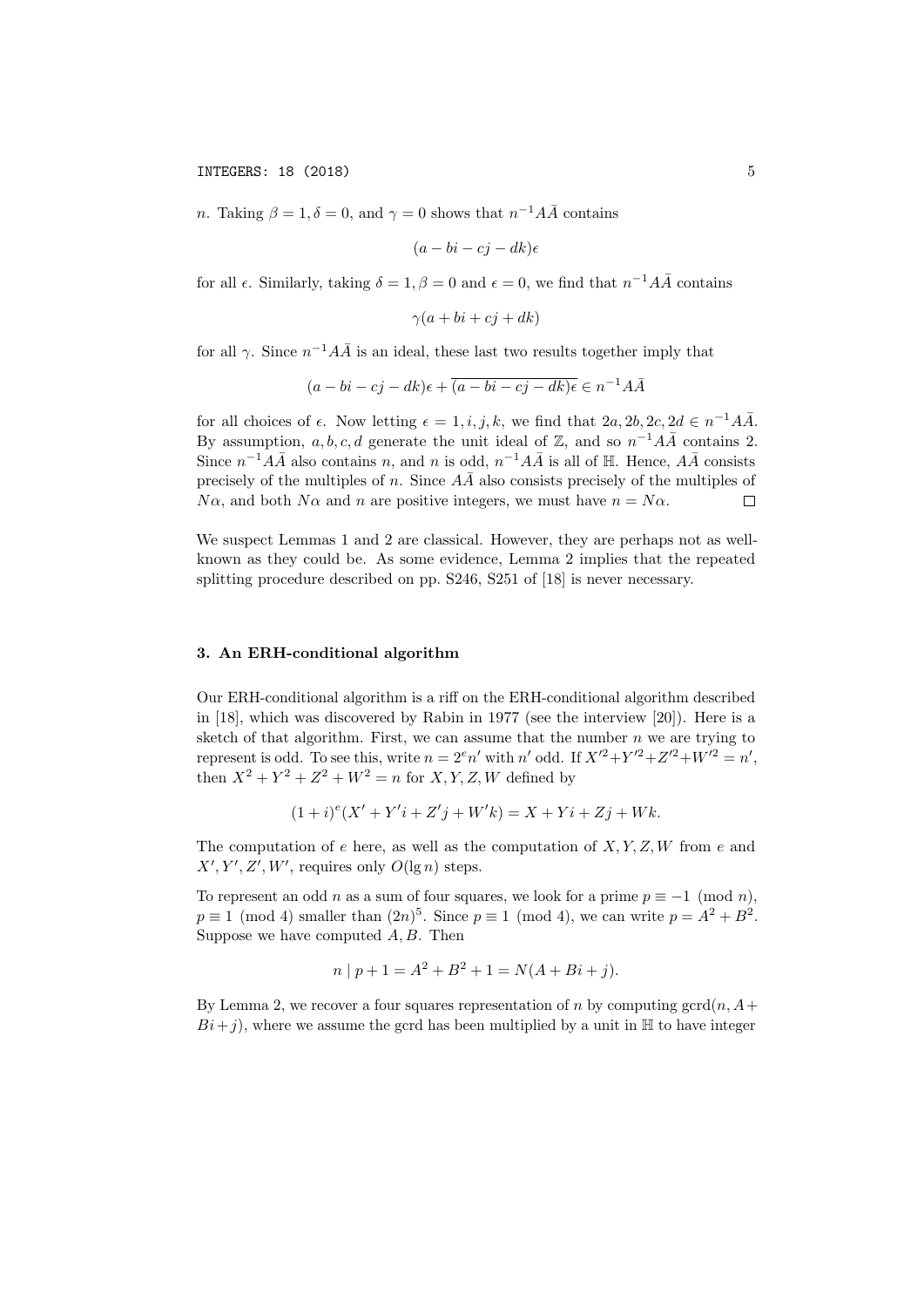*n*. Taking  $\beta = 1, \delta = 0$ , and  $\gamma = 0$  shows that  $n^{-1}A\overline{A}$  contains

$$
(a-bi-cj-dk)\epsilon
$$

for all  $\epsilon$ . Similarly, taking  $\delta = 1, \beta = 0$  and  $\epsilon = 0$ , we find that  $n^{-1}A\overline{A}$  contains

$$
\gamma(a+bi+cj+dk)
$$

for all  $\gamma$ . Since  $n^{-1}A\overline{A}$  is an ideal, these last two results together imply that

$$
(a-bi-cj-dk)\epsilon + \overline{(a-bi-cj-dk)\epsilon} \in n^{-1}A\overline{A}
$$

for all choices of  $\epsilon$ . Now letting  $\epsilon = 1, i, j, k$ , we find that  $2a, 2b, 2c, 2d \in n^{-1}A\overline{A}$ . By assumption,  $a, b, c, d$  generate the unit ideal of  $\mathbb{Z}$ , and so  $n^{-1}A\overline{A}$  contains 2. Since  $n^{-1}A\overline{A}$  also contains n, and n is odd,  $n^{-1}A\overline{A}$  is all of H. Hence,  $A\overline{A}$  consists precisely of the multiples of n. Since  $A\overline{A}$  also consists precisely of the multiples of  $N\alpha$ , and both  $N\alpha$  and n are positive integers, we must have  $n = N\alpha$ .  $\Box$ 

We suspect Lemmas 1 and 2 are classical. However, they are perhaps not as wellknown as they could be. As some evidence, Lemma 2 implies that the repeated splitting procedure described on pp. S246, S251 of [18] is never necessary.

# 3. An ERH-conditional algorithm

Our ERH-conditional algorithm is a riff on the ERH-conditional algorithm described in [18], which was discovered by Rabin in 1977 (see the interview [20]). Here is a sketch of that algorithm. First, we can assume that the number  $n$  we are trying to represent is odd. To see this, write  $n = 2^e n'$  with  $n'$  odd. If  $X'^2 + Y'^2 + Z'^2 + W'^2 = n'$ , then  $X^2 + Y^2 + Z^2 + W^2 = n$  for X, Y, Z, W defined by

$$
(1+i)^{e}(X' + Y'i + Z'j + W'k) = X + Yi + Zj + Wk.
$$

The computation of e here, as well as the computation of  $X, Y, Z, W$  from e and  $X', Y', Z', W'$ , requires only  $O(\lg n)$  steps.

To represent an odd n as a sum of four squares, we look for a prime  $p \equiv -1 \pmod{n}$ .  $p \equiv 1 \pmod{4}$  smaller than  $(2n)^5$ . Since  $p \equiv 1 \pmod{4}$ , we can write  $p = A^2 + B^2$ . Suppose we have computed  $A, B$ . Then

$$
n | p + 1 = A2 + B2 + 1 = N(A + Bi + j).
$$

By Lemma 2, we recover a four squares representation of n by computing gcrd $(n, A +$  $Bi+j$ , where we assume the gcrd has been multiplied by a unit in H to have integer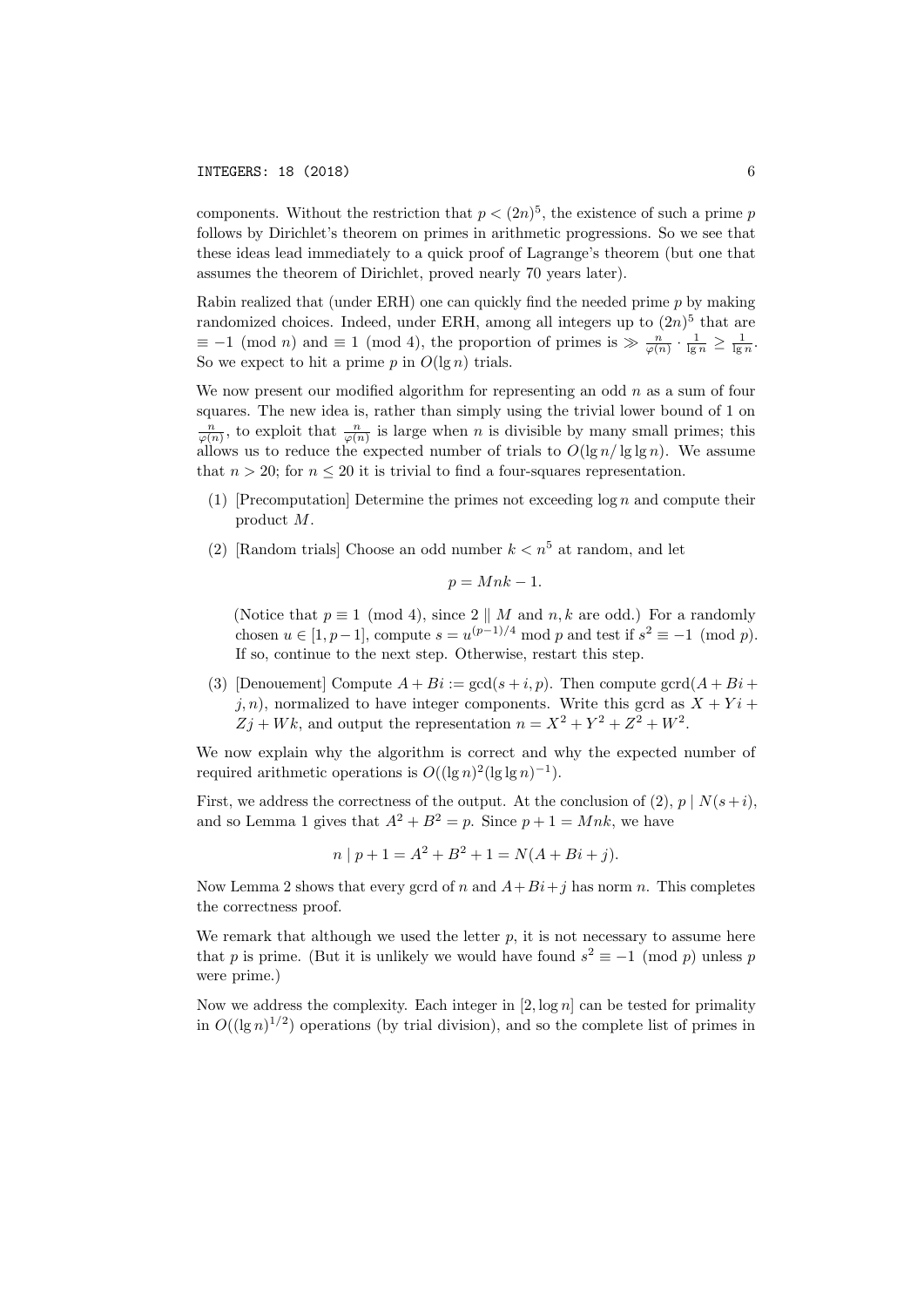components. Without the restriction that  $p < (2n)^5$ , the existence of such a prime p follows by Dirichlet's theorem on primes in arithmetic progressions. So we see that these ideas lead immediately to a quick proof of Lagrange's theorem (but one that assumes the theorem of Dirichlet, proved nearly 70 years later).

Rabin realized that (under ERH) one can quickly find the needed prime  $p$  by making randomized choices. Indeed, under ERH, among all integers up to  $(2n)^5$  that are  $\equiv -1 \pmod{n}$  and  $\equiv 1 \pmod{4}$ , the proportion of primes is  $\gg \frac{n}{\varphi(n)} \cdot \frac{1}{\lg n} \ge \frac{1}{\lg n}$ . So we expect to hit a prime  $p$  in  $O(\lg n)$  trials.

We now present our modified algorithm for representing an odd  $n$  as a sum of four squares. The new idea is, rather than simply using the trivial lower bound of 1 on  $\frac{n}{\varphi(n)}$ , to exploit that  $\frac{n}{\varphi(n)}$  is large when n is divisible by many small primes; this allows us to reduce the expected number of trials to  $O(\lg n / \lg \lg n)$ . We assume that  $n > 20$ ; for  $n \leq 20$  it is trivial to find a four-squares representation.

- (1) [Precomputation] Determine the primes not exceeding  $\log n$  and compute their product M.
- (2) [Random trials] Choose an odd number  $k < n<sup>5</sup>$  at random, and let

$$
p = Mnk - 1.
$$

(Notice that  $p \equiv 1 \pmod{4}$ , since  $2 \parallel M$  and  $n, k$  are odd.) For a randomly chosen  $u \in [1, p-1]$ , compute  $s = u^{(p-1)/4} \mod p$  and test if  $s^2 \equiv -1 \pmod{p}$ . If so, continue to the next step. Otherwise, restart this step.

(3) [Denouement] Compute  $A + Bi := \gcd(s + i, p)$ . Then compute  $\gcd(A + Bi + i)$  $j, n$ , normalized to have integer components. Write this gcrd as  $X + Y i +$  $Zj + Wk$ , and output the representation  $n = X^2 + Y^2 + Z^2 + W^2$ .

We now explain why the algorithm is correct and why the expected number of required arithmetic operations is  $O((\lg n)^2(\lg \lg n)^{-1})$ .

First, we address the correctness of the output. At the conclusion of (2),  $p \mid N(s+i)$ , and so Lemma 1 gives that  $A^2 + B^2 = p$ . Since  $p + 1 = Mnk$ , we have

$$
n | p + 1 = A2 + B2 + 1 = N(A + Bi + j).
$$

Now Lemma 2 shows that every gcrd of n and  $A+Bi+j$  has norm n. This completes the correctness proof.

We remark that although we used the letter  $p$ , it is not necessary to assume here that p is prime. (But it is unlikely we would have found  $s^2 \equiv -1 \pmod{p}$  unless p were prime.)

Now we address the complexity. Each integer in  $[2, \log n]$  can be tested for primality in  $O((\lg n)^{1/2})$  operations (by trial division), and so the complete list of primes in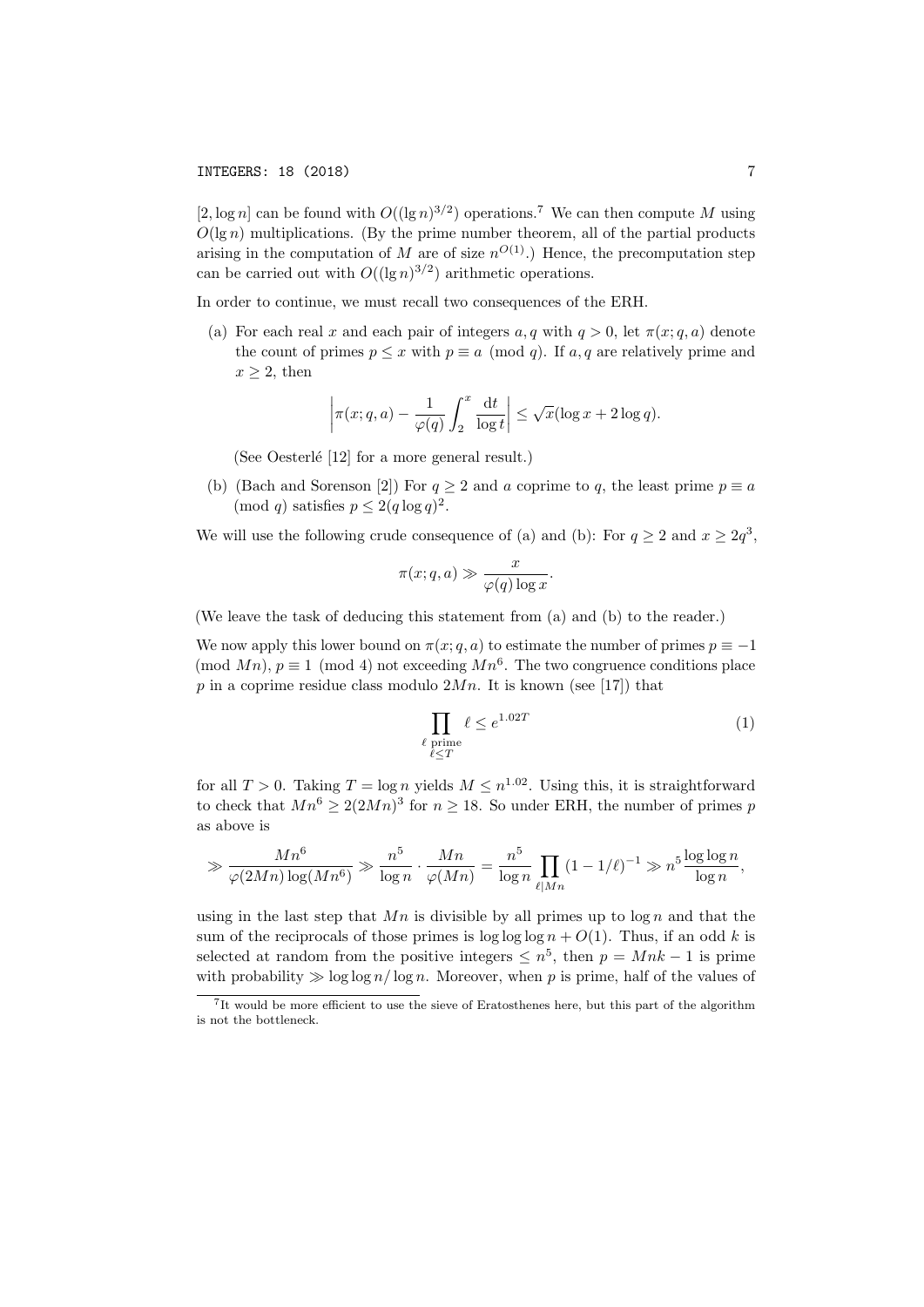[2, log n] can be found with  $O((\lg n)^{3/2})$  operations.<sup>7</sup> We can then compute M using  $O(\lg n)$  multiplications. (By the prime number theorem, all of the partial products arising in the computation of M are of size  $n^{O(1)}$ .) Hence, the precomputation step can be carried out with  $O((\lg n)^{3/2})$  arithmetic operations.

In order to continue, we must recall two consequences of the ERH.

(a) For each real x and each pair of integers  $a, q$  with  $q > 0$ , let  $\pi(x; q, a)$  denote the count of primes  $p \leq x$  with  $p \equiv a \pmod{q}$ . If a, q are relatively prime and  $x \geq 2$ , then

$$
\left|\pi(x;q,a)-\frac{1}{\varphi(q)}\int_2^x\frac{\mathrm{d}t}{\log t}\right|\leq \sqrt{x}(\log x+2\log q).
$$

(See Oesterlé  $[12]$  for a more general result.)

(b) (Bach and Sorenson [2]) For  $q \ge 2$  and a coprime to q, the least prime  $p \equiv a$  $\pmod{q}$  satisfies  $p \leq 2(q \log q)^2$ .

We will use the following crude consequence of (a) and (b): For  $q \ge 2$  and  $x \ge 2q^3$ ,

$$
\pi(x; q, a) \gg \frac{x}{\varphi(q) \log x}.
$$

(We leave the task of deducing this statement from (a) and (b) to the reader.)

We now apply this lower bound on  $\pi(x; q, a)$  to estimate the number of primes  $p \equiv -1$ (mod  $Mn$ ),  $p \equiv 1 \pmod{4}$  not exceeding  $Mn^6$ . The two congruence conditions place p in a coprime residue class modulo  $2Mn$ . It is known (see [17]) that

$$
\prod_{\ell \text{ prime}} \ell \le e^{1.02T} \tag{1}
$$

for all  $T > 0$ . Taking  $T = \log n$  yields  $M \leq n^{1.02}$ . Using this, it is straightforward to check that  $Mn^6 \geq 2(2Mn)^3$  for  $n \geq 18$ . So under ERH, the number of primes p as above is

$$
\gg \frac{Mn^6}{\varphi(2Mn)\log(Mn^6)} \gg \frac{n^5}{\log n} \cdot \frac{Mn}{\varphi(Mn)} = \frac{n^5}{\log n} \prod_{\ell \mid Mn} (1 - 1/\ell)^{-1} \gg n^5 \frac{\log \log n}{\log n},
$$

using in the last step that  $Mn$  is divisible by all primes up to  $\log n$  and that the sum of the reciprocals of those primes is  $\log \log \log n + O(1)$ . Thus, if an odd k is selected at random from the positive integers  $\leq n^5$ , then  $p = Mnk - 1$  is prime with probability  $\gg \log \log n / \log n$ . Moreover, when p is prime, half of the values of

<sup>7</sup> It would be more efficient to use the sieve of Eratosthenes here, but this part of the algorithm is not the bottleneck.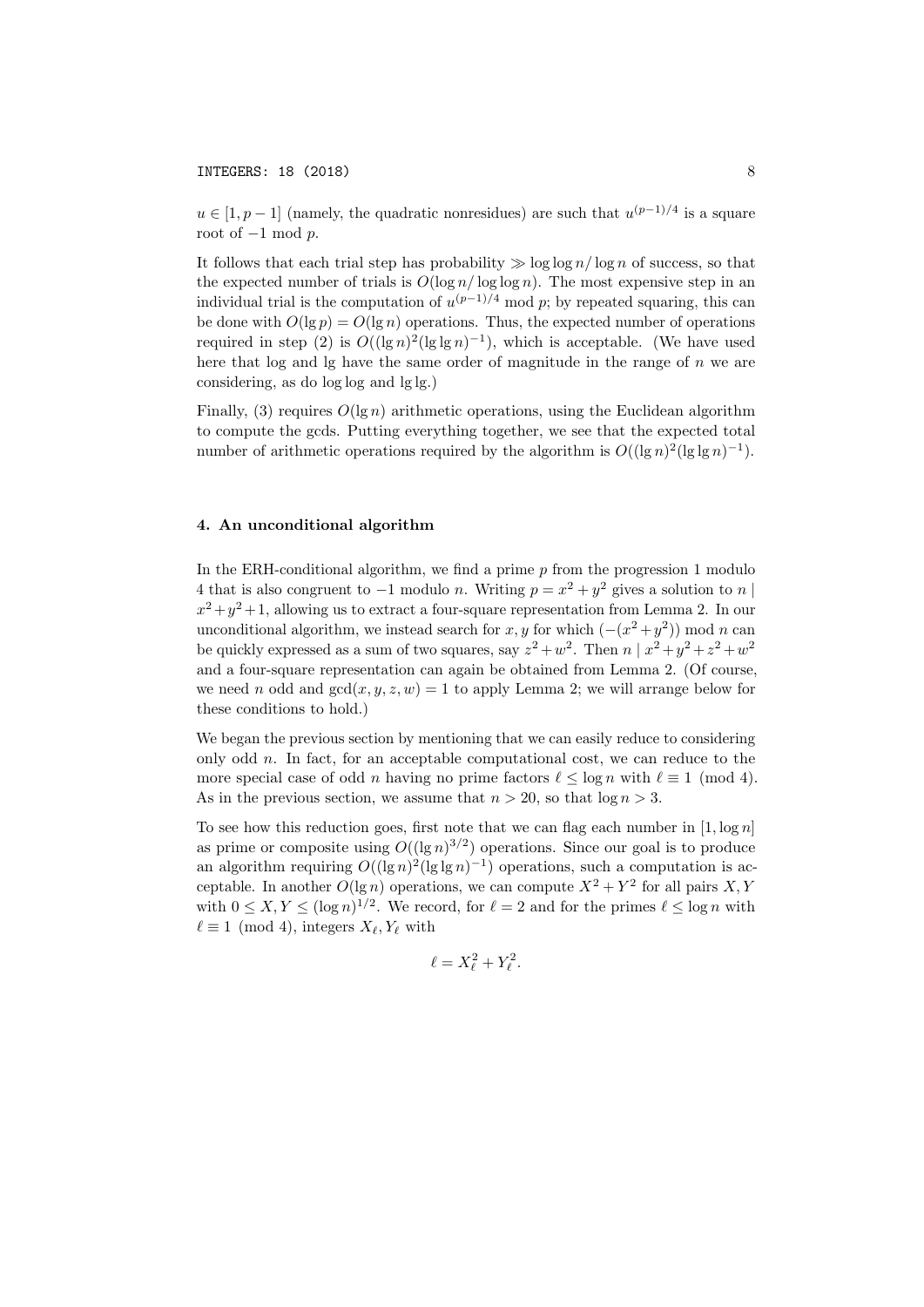$u \in [1, p-1]$  (namely, the quadratic nonresidues) are such that  $u^{(p-1)/4}$  is a square root of  $-1$  mod  $p$ .

It follows that each trial step has probability  $\gg \log \log n / \log n$  of success, so that the expected number of trials is  $O(\log n / \log \log n)$ . The most expensive step in an individual trial is the computation of  $u^{(p-1)/4} \mod p$ ; by repeated squaring, this can be done with  $O(\lg p) = O(\lg n)$  operations. Thus, the expected number of operations required in step (2) is  $O((\lg n)^2(\lg \lg n)^{-1})$ , which is acceptable. (We have used here that log and  $\lg$  have the same order of magnitude in the range of n we are considering, as do log log and lg lg.)

Finally, (3) requires  $O(\lg n)$  arithmetic operations, using the Euclidean algorithm to compute the gcds. Putting everything together, we see that the expected total number of arithmetic operations required by the algorithm is  $O((\lg n)^2(\lg \lg n)^{-1})$ .

# 4. An unconditional algorithm

In the ERH-conditional algorithm, we find a prime  $p$  from the progression 1 modulo 4 that is also congruent to  $-1$  modulo n. Writing  $p = x^2 + y^2$  gives a solution to n |  $x^2 + y^2 + 1$ , allowing us to extract a four-square representation from Lemma 2. In our unconditional algorithm, we instead search for x, y for which  $(-(x^2 + y^2)) \text{ mod } n$  can be quickly expressed as a sum of two squares, say  $z^2 + w^2$ . Then  $n | x^2 + y^2 + z^2 + w^2$ and a four-square representation can again be obtained from Lemma 2. (Of course, we need n odd and  $gcd(x, y, z, w) = 1$  to apply Lemma 2; we will arrange below for these conditions to hold.)

We began the previous section by mentioning that we can easily reduce to considering only odd n. In fact, for an acceptable computational cost, we can reduce to the more special case of odd n having no prime factors  $\ell \leq \log n$  with  $\ell \equiv 1 \pmod{4}$ . As in the previous section, we assume that  $n > 20$ , so that  $\log n > 3$ .

To see how this reduction goes, first note that we can flag each number in  $[1, \log n]$ as prime or composite using  $O((\lg n)^{3/2})$  operations. Since our goal is to produce an algorithm requiring  $O((\lg n)^2(\lg \lg n)^{-1})$  operations, such a computation is acceptable. In another  $O(\lg n)$  operations, we can compute  $X^2 + Y^2$  for all pairs X, Y with  $0 \leq X, Y \leq (\log n)^{1/2}$ . We record, for  $\ell = 2$  and for the primes  $\ell \leq \log n$  with  $\ell \equiv 1 \pmod{4}$ , integers  $X_{\ell}, Y_{\ell}$  with

$$
\ell = X_{\ell}^2 + Y_{\ell}^2.
$$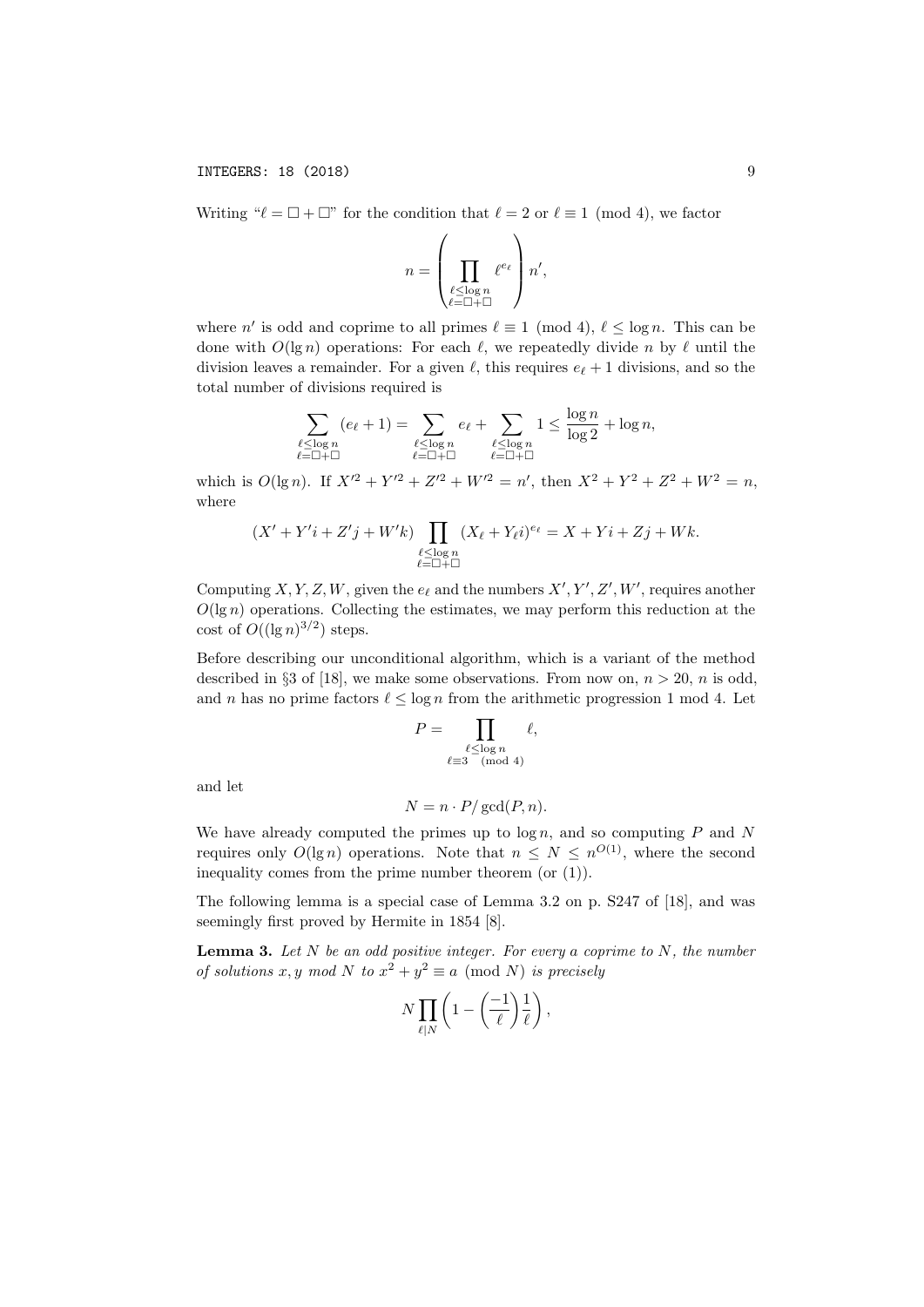Writing " $\ell = \square + \square$ " for the condition that  $\ell = 2$  or  $\ell \equiv 1 \pmod{4}$ , we factor  $\lambda$ 

$$
n = \left(\prod_{\substack{\ell \leq \log n \\ \ell = \square + \square}} \ell^{e_{\ell}}\right) n',
$$

where n' is odd and coprime to all primes  $\ell \equiv 1 \pmod{4}$ ,  $\ell \leq \log n$ . This can be done with  $O(\lg n)$  operations: For each  $\ell$ , we repeatedly divide n by  $\ell$  until the division leaves a remainder. For a given  $\ell$ , this requires  $e_{\ell} + 1$  divisions, and so the total number of divisions required is

$$
\sum_{\substack{\ell \leq \log n \\ \ell \equiv \square + \square}} (e_{\ell} + 1) = \sum_{\substack{\ell \leq \log n \\ \ell \equiv \square + \square}} e_{\ell} + \sum_{\substack{\ell \leq \log n \\ \ell \equiv \square + \square}} 1 \leq \frac{\log n}{\log 2} + \log n,
$$

which is  $O(\lg n)$ . If  $X'^2 + Y'^2 + Z'^2 + W'^2 = n'$ , then  $X^2 + Y^2 + Z^2 + W^2 = n$ , where

$$
(X' + Y'i + Z'j + W'k) \prod_{\substack{\ell \leq \log n \\ \ell = \square + \square}} (X_{\ell} + Y_{\ell}i)^{e_{\ell}} = X + Yi + Zj + Wk.
$$

Computing X, Y, Z, W, given the  $e_{\ell}$  and the numbers  $X', Y', Z', W'$ , requires another  $O(\lg n)$  operations. Collecting the estimates, we may perform this reduction at the cost of  $O((\lg n)^{3/2})$  steps.

Before describing our unconditional algorithm, which is a variant of the method described in §3 of [18], we make some observations. From now on,  $n > 20$ , n is odd, and n has no prime factors  $\ell \leq \log n$  from the arithmetic progression 1 mod 4. Let

$$
P = \prod_{\substack{\ell \leq \log n \\ \ell \equiv 3 \pmod{4}}} \ell,
$$

and let

$$
N = n \cdot P / \gcd(P, n).
$$

We have already computed the primes up to  $\log n$ , and so computing  $P$  and  $N$ requires only  $O(\lg n)$  operations. Note that  $n \leq N \leq n^{O(1)}$ , where the second inequality comes from the prime number theorem (or (1)).

The following lemma is a special case of Lemma 3.2 on p. S247 of [18], and was seemingly first proved by Hermite in 1854 [8].

**Lemma 3.** Let  $N$  be an odd positive integer. For every a coprime to  $N$ , the number of solutions x, y mod N to  $x^2 + y^2 \equiv a \pmod{N}$  is precisely

$$
N\prod_{\ell|N}\left(1-\left(\frac{-1}{\ell}\right)\frac{1}{\ell}\right),\,
$$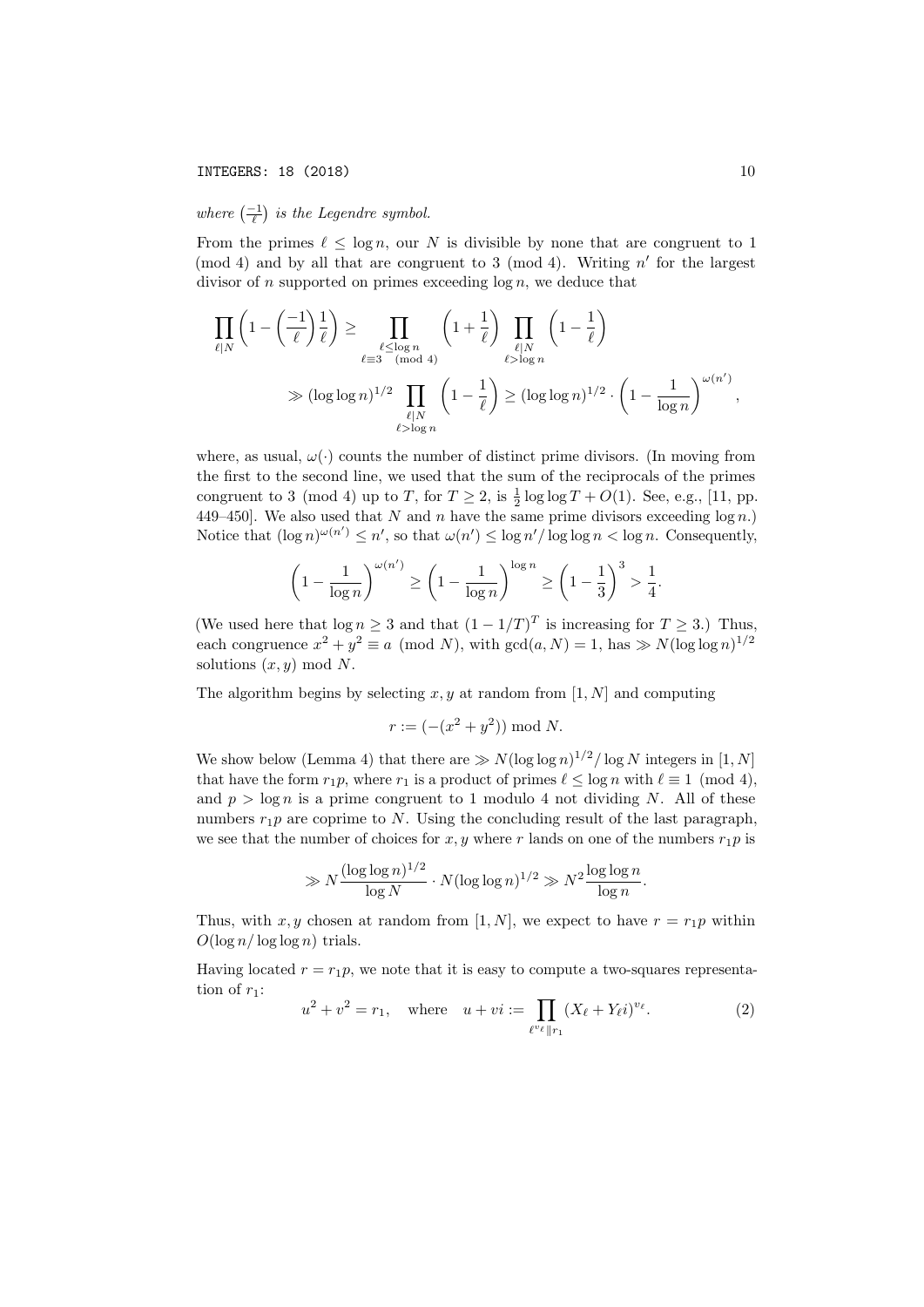# where  $\left(\frac{-1}{\ell}\right)$  is the Legendre symbol.

From the primes  $\ell \leq \log n$ , our N is divisible by none that are congruent to 1 (mod 4) and by all that are congruent to 3 (mod 4). Writing  $n'$  for the largest divisor of n supported on primes exceeding  $\log n$ , we deduce that

$$
\prod_{\ell|N} \left(1 - \left(\frac{-1}{\ell}\right) \frac{1}{\ell}\right) \ge \prod_{\substack{\ell \le \log n \\ \ell \equiv 3 \pmod{4}}} \left(1 + \frac{1}{\ell}\right) \prod_{\substack{\ell|N \\ \ell > \log n}} \left(1 - \frac{1}{\ell}\right)
$$
\n
$$
\gg (\log \log n)^{1/2} \prod_{\substack{\ell|N \\ \ell > \log n}} \left(1 - \frac{1}{\ell}\right) \ge (\log \log n)^{1/2} \cdot \left(1 - \frac{1}{\log n}\right)^{\omega(n')},
$$

where, as usual,  $\omega(\cdot)$  counts the number of distinct prime divisors. (In moving from the first to the second line, we used that the sum of the reciprocals of the primes congruent to 3 (mod 4) up to T, for  $T \ge 2$ , is  $\frac{1}{2} \log \log T + O(1)$ . See, e.g., [11, pp. 449–450]. We also used that N and n have the same prime divisors exceeding  $log n$ . Notice that  $(\log n)^{\omega(n')} \leq n'$ , so that  $\omega(n') \leq \log n' / \log \log n < \log n$ . Consequently,

$$
\left(1 - \frac{1}{\log n}\right)^{\omega(n')} \ge \left(1 - \frac{1}{\log n}\right)^{\log n} \ge \left(1 - \frac{1}{3}\right)^3 > \frac{1}{4}.
$$

(We used here that  $\log n \geq 3$  and that  $(1 - 1/T)^T$  is increasing for  $T \geq 3$ .) Thus, each congruence  $x^2 + y^2 \equiv a \pmod{N}$ , with  $gcd(a, N) = 1$ , has  $\gg N(\log \log n)^{1/2}$ solutions  $(x, y) \mod N$ .

The algorithm begins by selecting  $x, y$  at random from [1, N] and computing

$$
r := (-(x^2 + y^2)) \bmod N.
$$

We show below (Lemma 4) that there are  $\gg N(\log \log n)^{1/2}/\log N$  integers in [1, N] that have the form  $r_1p$ , where  $r_1$  is a product of primes  $\ell \leq \log n$  with  $\ell \equiv 1 \pmod{4}$ , and  $p > \log n$  is a prime congruent to 1 modulo 4 not dividing N. All of these numbers  $r_1p$  are coprime to N. Using the concluding result of the last paragraph, we see that the number of choices for  $x, y$  where r lands on one of the numbers  $r_1p$  is

$$
\gg N \frac{(\log \log n)^{1/2}}{\log N} \cdot N (\log \log n)^{1/2} \gg N^2 \frac{\log \log n}{\log n}.
$$

Thus, with x, y chosen at random from [1, N], we expect to have  $r = r_1p$  within  $O(\log n/\log \log n)$  trials.

Having located  $r = r_1p$ , we note that it is easy to compute a two-squares representation of  $r_1$ :

$$
u^{2} + v^{2} = r_{1}, \quad \text{where} \quad u + vi := \prod_{\ell^{v_{\ell}} || r_{1}} (X_{\ell} + Y_{\ell}i)^{v_{\ell}}.
$$
 (2)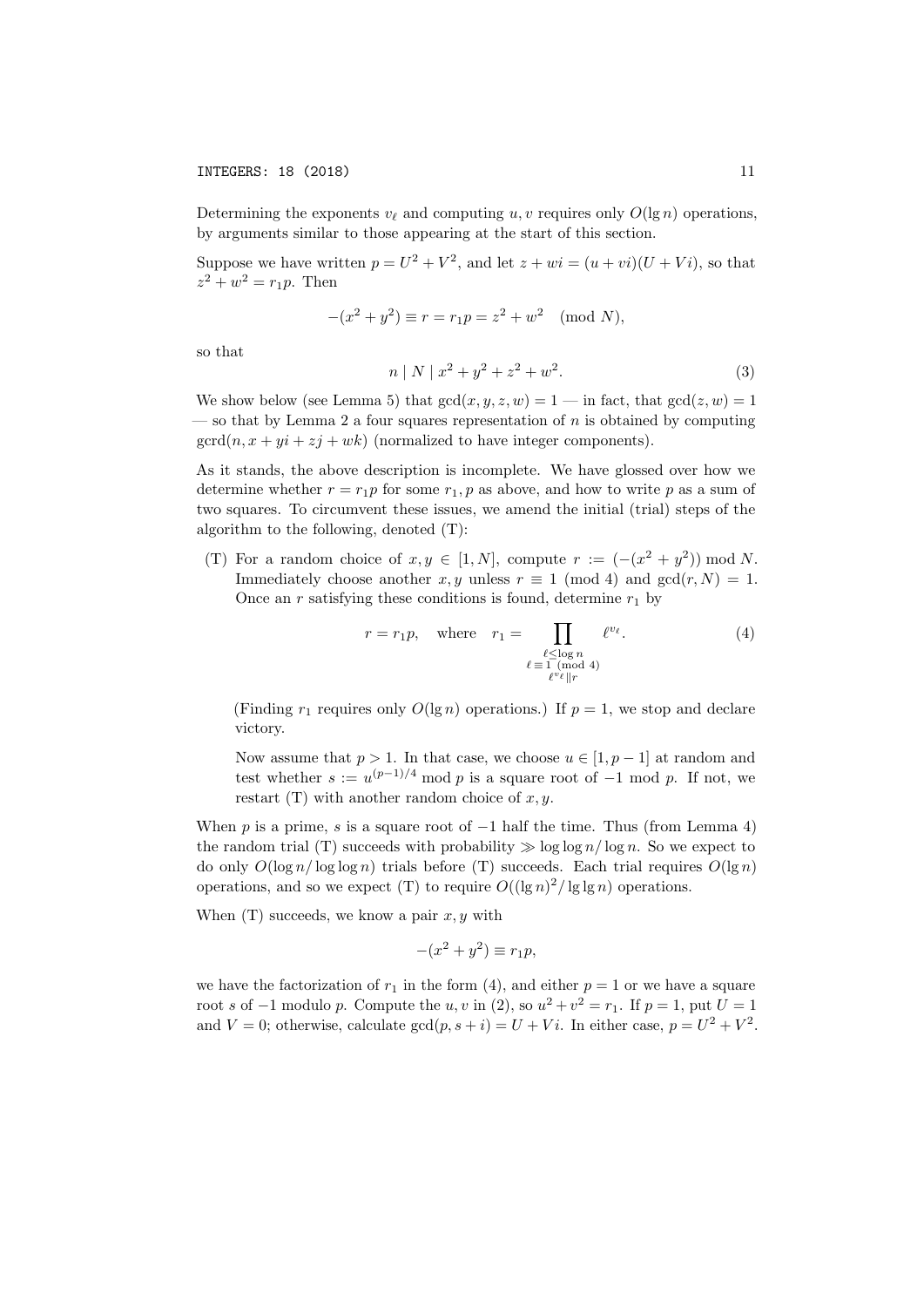Determining the exponents  $v_{\ell}$  and computing u, v requires only  $O(\lg n)$  operations, by arguments similar to those appearing at the start of this section.

Suppose we have written  $p = U^2 + V^2$ , and let  $z + wi = (u + vi)(U + Vi)$ , so that  $z^2 + w^2 = r_1 p$ . Then

$$
-(x2 + y2) \equiv r = r1p = z2 + w2 \pmod{N},
$$

so that

$$
n \mid N \mid x^2 + y^2 + z^2 + w^2. \tag{3}
$$

We show below (see Lemma 5) that  $gcd(x, y, z, w) = 1$  — in fact, that  $gcd(z, w) = 1$  $-$  so that by Lemma 2 a four squares representation of  $n$  is obtained by computing  $\gcd(n, x + yi + zj + wk)$  (normalized to have integer components).

As it stands, the above description is incomplete. We have glossed over how we determine whether  $r = r_1p$  for some  $r_1, p$  as above, and how to write p as a sum of two squares. To circumvent these issues, we amend the initial (trial) steps of the algorithm to the following, denoted (T):

(T) For a random choice of  $x, y \in [1, N]$ , compute  $r := (- (x^2 + y^2)) \text{ mod } N$ . Immediately choose another x, y unless  $r \equiv 1 \pmod{4}$  and  $gcd(r, N) = 1$ . Once an r satisfying these conditions is found, determine  $r_1$  by

$$
r = r_1 p, \quad \text{where} \quad r_1 = \prod_{\substack{\ell \leq \log n \\ \ell \equiv 1 \pmod{4} \\ \ell^v \ell \parallel r}} \ell^{v_{\ell}}.
$$
 (4)

(Finding  $r_1$  requires only  $O(\lg n)$  operations.) If  $p = 1$ , we stop and declare victory.

Now assume that  $p > 1$ . In that case, we choose  $u \in [1, p-1]$  at random and test whether  $s := u^{(p-1)/4} \mod p$  is a square root of  $-1 \mod p$ . If not, we restart (T) with another random choice of  $x, y$ .

When p is a prime, s is a square root of  $-1$  half the time. Thus (from Lemma 4) the random trial (T) succeeds with probability  $\gg \log \log n / \log n$ . So we expect to do only  $O(\log n / \log \log n)$  trials before (T) succeeds. Each trial requires  $O(\log n)$ operations, and so we expect (T) to require  $O((\lg n)^2 / \lg \lg n)$  operations.

When  $(T)$  succeeds, we know a pair  $x, y$  with

$$
-(x^2 + y^2) \equiv r_1 p,
$$

we have the factorization of  $r_1$  in the form (4), and either  $p = 1$  or we have a square root s of  $-1$  modulo p. Compute the u, v in (2), so  $u^2 + v^2 = r_1$ . If  $p = 1$ , put  $U = 1$ and  $V = 0$ ; otherwise, calculate  $gcd(p, s + i) = U + Vi$ . In either case,  $p = U^2 + V^2$ .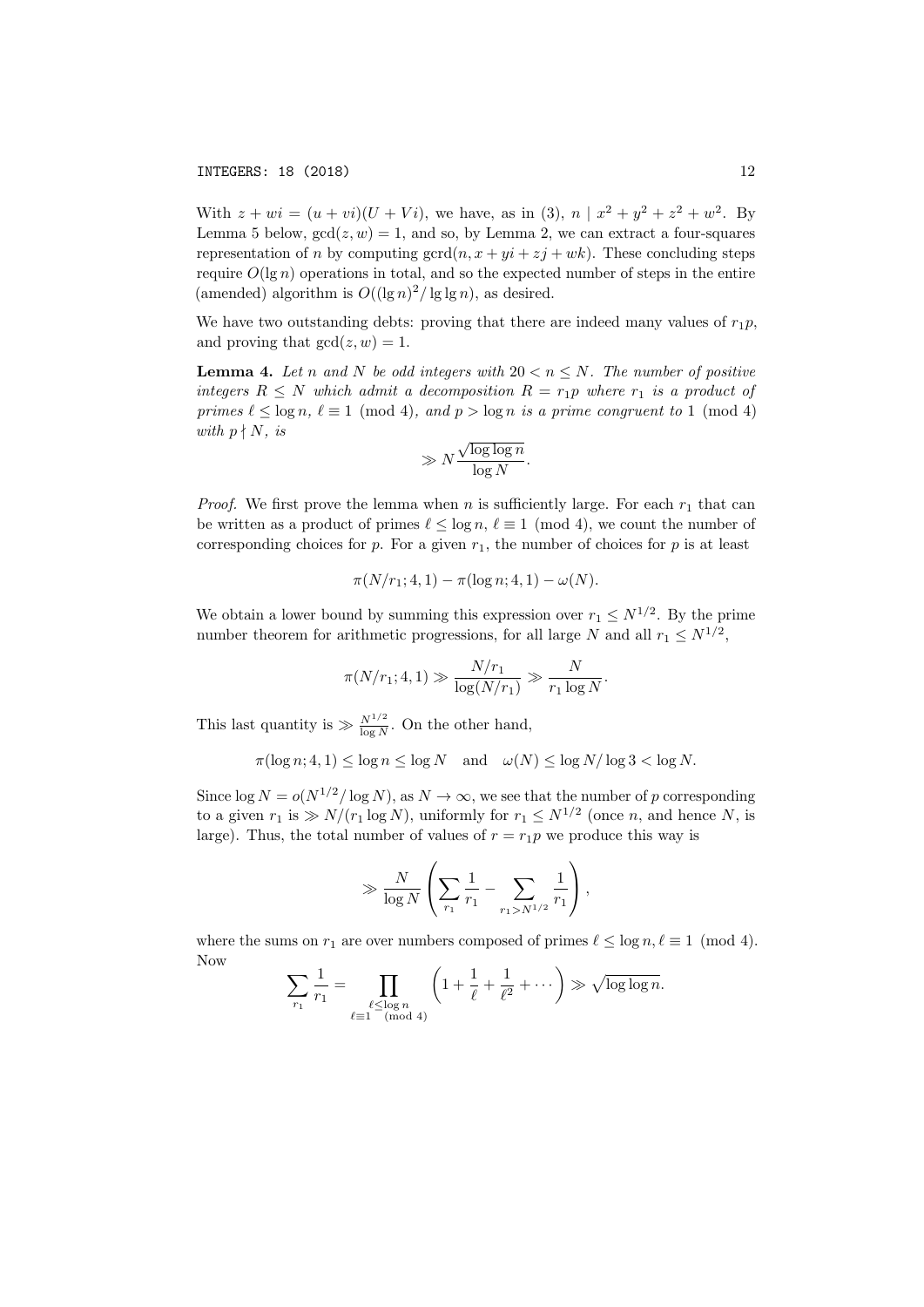With  $z + wi = (u + vi)(U + Vi)$ , we have, as in (3),  $n | x^2 + y^2 + z^2 + w^2$ . By Lemma 5 below,  $gcd(z, w) = 1$ , and so, by Lemma 2, we can extract a four-squares representation of n by computing  $\gcd(n, x + yi + zj + wk)$ . These concluding steps require  $O(\lg n)$  operations in total, and so the expected number of steps in the entire (amended) algorithm is  $O((\lg n)^2 / \lg \lg n)$ , as desired.

We have two outstanding debts: proving that there are indeed many values of  $r_1p$ , and proving that  $gcd(z, w) = 1$ .

**Lemma 4.** Let n and N be odd integers with  $20 < n < N$ . The number of positive integers  $R \leq N$  which admit a decomposition  $R = r_1p$  where  $r_1$  is a product of primes  $\ell \leq \log n$ ,  $\ell \equiv 1 \pmod{4}$ , and  $p > \log n$  is a prime congruent to 1 (mod 4) with  $p \nmid N$ , is √

$$
\gg N \frac{\sqrt{\log \log n}}{\log N}.
$$

*Proof.* We first prove the lemma when n is sufficiently large. For each  $r_1$  that can be written as a product of primes  $\ell \leq \log n, \ell \equiv 1 \pmod{4}$ , we count the number of corresponding choices for p. For a given  $r_1$ , the number of choices for p is at least

$$
\pi(N/r_1; 4, 1) - \pi(\log n; 4, 1) - \omega(N).
$$

We obtain a lower bound by summing this expression over  $r_1 \leq N^{1/2}$ . By the prime number theorem for arithmetic progressions, for all large N and all  $r_1 \leq N^{1/2}$ ,

$$
\pi(N/r_1; 4, 1) \gg \frac{N/r_1}{\log(N/r_1)} \gg \frac{N}{r_1 \log N}.
$$

This last quantity is  $\gg \frac{N^{1/2}}{\log N}$ . On the other hand,

$$
\pi(\log n; 4, 1) \le \log n \le \log N \quad \text{and} \quad \omega(N) \le \log N/\log 3 < \log N.
$$

Since  $\log N = o(N^{1/2}/\log N)$ , as  $N \to \infty$ , we see that the number of p corresponding to a given  $r_1$  is  $\gg N/(r_1 \log N)$ , uniformly for  $r_1 \leq N^{1/2}$  (once *n*, and hence *N*, is large). Thus, the total number of values of  $r = r_1p$  we produce this way is

$$
\gg \frac{N}{\log N} \left( \sum_{r_1} \frac{1}{r_1} - \sum_{r_1 > N^{1/2}} \frac{1}{r_1} \right),\,
$$

where the sums on  $r_1$  are over numbers composed of primes  $\ell \leq \log n, \ell \equiv 1 \pmod{4}$ . Now

$$
\sum_{r_1} \frac{1}{r_1} = \prod_{\substack{\ell \leq \log n \\ \ell \equiv 1 \pmod{4}}} \left( 1 + \frac{1}{\ell} + \frac{1}{\ell^2} + \cdots \right) \gg \sqrt{\log \log n}.
$$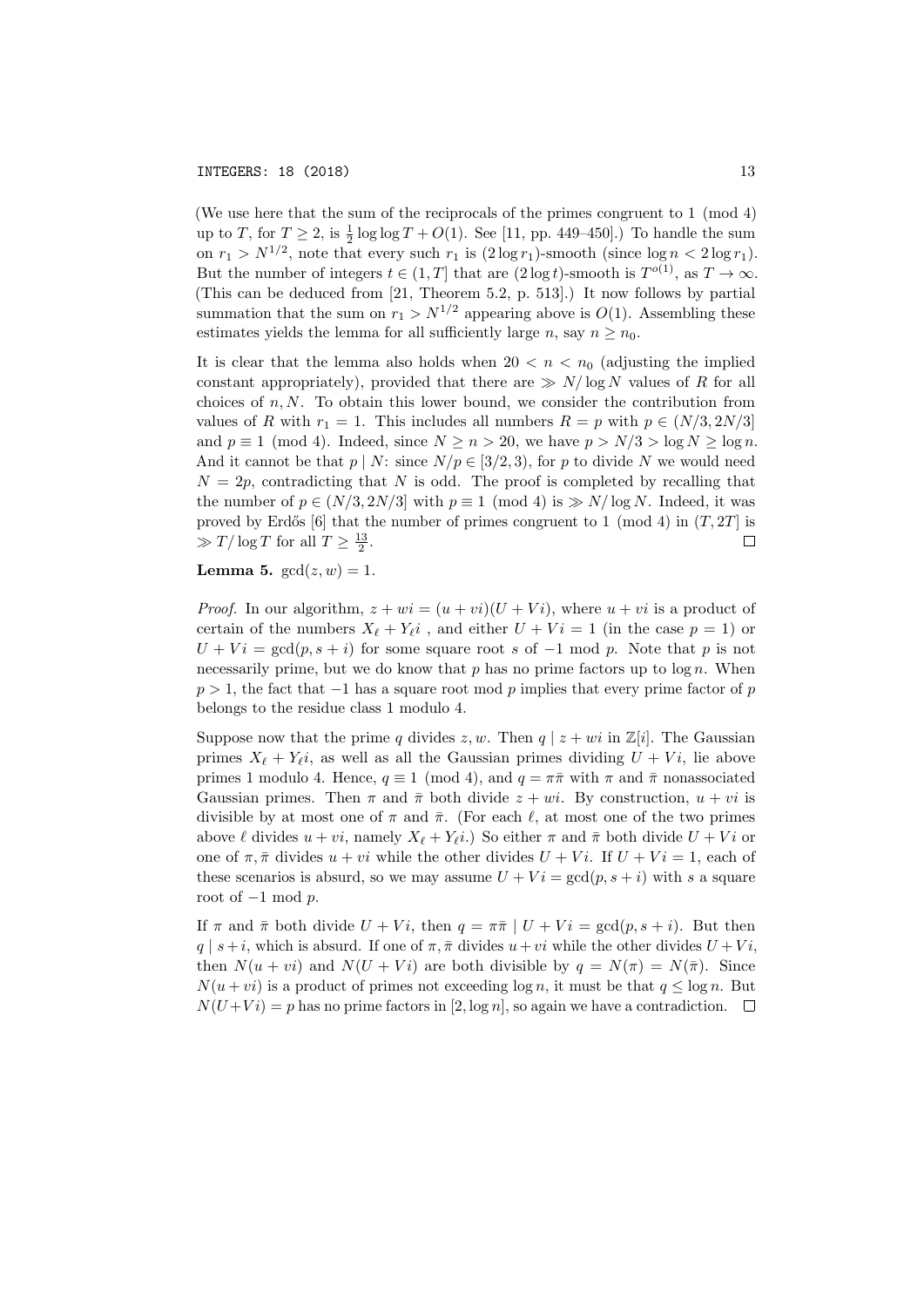(We use here that the sum of the reciprocals of the primes congruent to 1 (mod 4) up to T, for  $T \ge 2$ , is  $\frac{1}{2} \log \log T + O(1)$ . See [11, pp. 449–450].) To handle the sum on  $r_1 > N^{1/2}$ , note that every such  $r_1$  is  $(2 \log r_1)$ -smooth (since  $\log n < 2 \log r_1$ ). But the number of integers  $t \in (1, T]$  that are  $(2 \log t)$ -smooth is  $T^{o(1)}$ , as  $T \to \infty$ . (This can be deduced from [21, Theorem 5.2, p. 513].) It now follows by partial summation that the sum on  $r_1 > N^{1/2}$  appearing above is  $O(1)$ . Assembling these estimates yields the lemma for all sufficiently large n, say  $n > n_0$ .

It is clear that the lemma also holds when  $20 < n < n_0$  (adjusting the implied constant appropriately), provided that there are  $\gg N/\log N$  values of R for all choices of  $n, N$ . To obtain this lower bound, we consider the contribution from values of R with  $r_1 = 1$ . This includes all numbers  $R = p$  with  $p \in (N/3, 2N/3]$ and  $p \equiv 1 \pmod{4}$ . Indeed, since  $N \ge n > 20$ , we have  $p > N/3 > \log N \ge \log n$ . And it cannot be that  $p \mid N$ : since  $N/p \in [3/2, 3)$ , for p to divide N we would need  $N = 2p$ , contradicting that N is odd. The proof is completed by recalling that the number of  $p \in (N/3, 2N/3]$  with  $p \equiv 1 \pmod{4}$  is  $\gg N/\log N$ . Indeed, it was proved by Erdős [6] that the number of primes congruent to 1 (mod 4) in  $(T, 2T]$  is  $\gg T/\log T$  for all  $T \geq \frac{13}{2}$ .  $\Box$ 

**Lemma 5.**  $gcd(z, w) = 1$ .

*Proof.* In our algorithm,  $z + wi = (u + vi)(U + Vi)$ , where  $u + vi$  is a product of certain of the numbers  $X_{\ell} + Y_{\ell} i$ , and either  $U + Vi = 1$  (in the case  $p = 1$ ) or  $U + Vi = \gcd(p, s + i)$  for some square root s of -1 mod p. Note that p is not necessarily prime, but we do know that  $p$  has no prime factors up to  $\log n$ . When  $p > 1$ , the fact that  $-1$  has a square root mod p implies that every prime factor of p belongs to the residue class 1 modulo 4.

Suppose now that the prime q divides  $z, w$ . Then  $q | z + wi$  in  $\mathbb{Z}[i]$ . The Gaussian primes  $X_{\ell} + Y_{\ell}i$ , as well as all the Gaussian primes dividing  $U + Vi$ , lie above primes 1 modulo 4. Hence,  $q \equiv 1 \pmod{4}$ , and  $q = \pi \bar{\pi}$  with  $\pi$  and  $\bar{\pi}$  nonassociated Gaussian primes. Then  $\pi$  and  $\bar{\pi}$  both divide  $z + wi$ . By construction,  $u + vi$  is divisible by at most one of  $\pi$  and  $\bar{\pi}$ . (For each  $\ell$ , at most one of the two primes above  $\ell$  divides  $u + vi$ , namely  $X_{\ell} + Y_{\ell}i$ .) So either  $\pi$  and  $\bar{\pi}$  both divide  $U + Vi$  or one of  $\pi$ ,  $\bar{\pi}$  divides  $u + vi$  while the other divides  $U + Vi$ . If  $U + Vi = 1$ , each of these scenarios is absurd, so we may assume  $U + Vi = \gcd(p, s + i)$  with s a square root of  $-1$  mod  $p$ .

If  $\pi$  and  $\bar{\pi}$  both divide  $U + Vi$ , then  $q = \pi \bar{\pi} \mid U + Vi = \gcd(p, s + i)$ . But then  $q \mid s+i$ , which is absurd. If one of  $\pi, \bar{\pi}$  divides  $u + vi$  while the other divides  $U + Vi$ , then  $N(u + vi)$  and  $N(U + Vi)$  are both divisible by  $q = N(\pi) = N(\bar{\pi})$ . Since  $N(u + vi)$  is a product of primes not exceeding  $\log n$ , it must be that  $q \leq \log n$ . But  $N(U+Vi) = p$  has no prime factors in [2, log n], so again we have a contradiction.  $\square$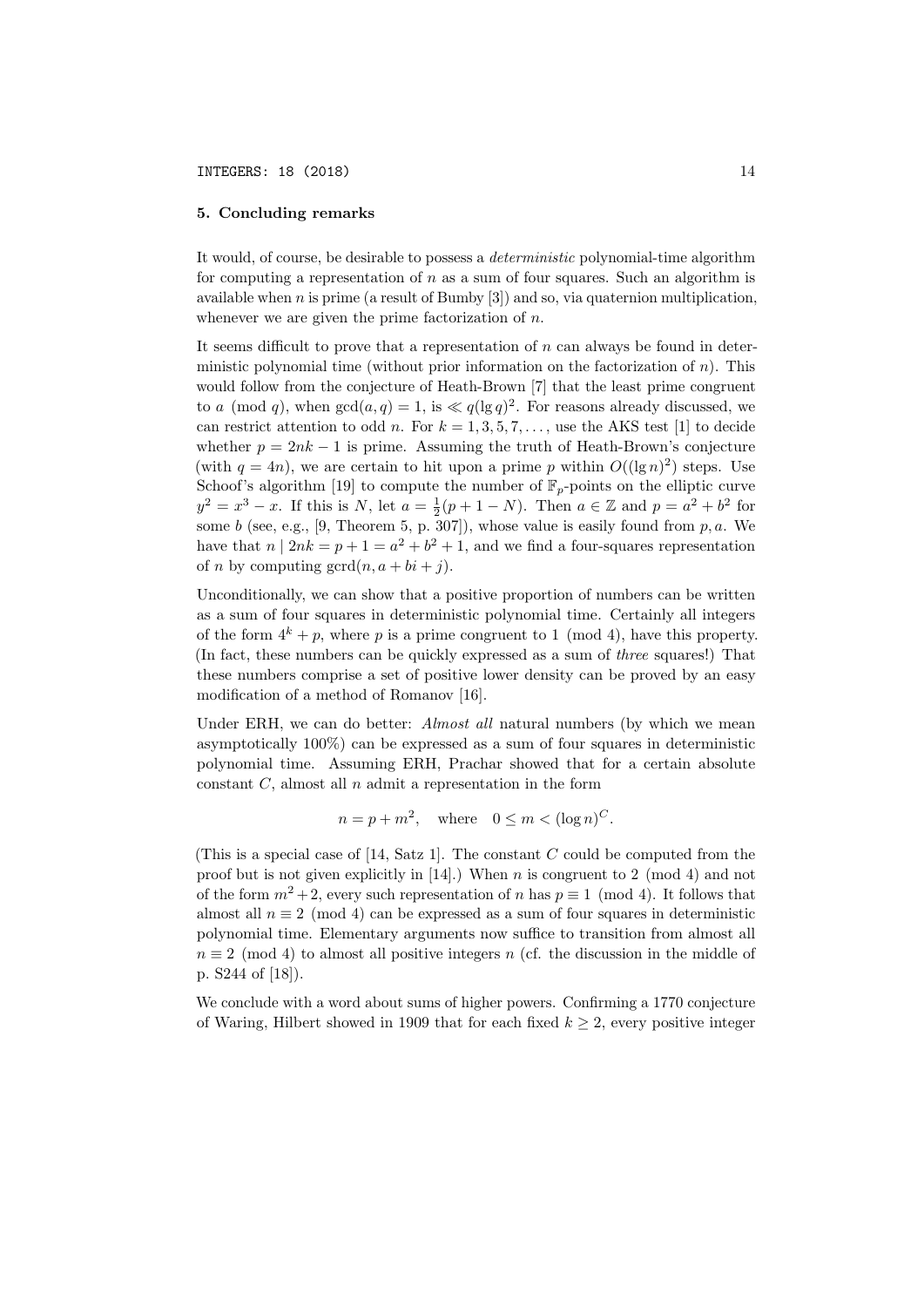# 5. Concluding remarks

It would, of course, be desirable to possess a deterministic polynomial-time algorithm for computing a representation of  $n$  as a sum of four squares. Such an algorithm is available when  $n$  is prime (a result of Bumby  $[3]$ ) and so, via quaternion multiplication, whenever we are given the prime factorization of  $n$ .

It seems difficult to prove that a representation of  $n$  can always be found in deterministic polynomial time (without prior information on the factorization of  $n$ ). This would follow from the conjecture of Heath-Brown [7] that the least prime congruent to a (mod q), when  $gcd(a, q) = 1$ , is  $\ll q(\lg q)^2$ . For reasons already discussed, we can restrict attention to odd n. For  $k = 1, 3, 5, 7, \ldots$ , use the AKS test [1] to decide whether  $p = 2nk - 1$  is prime. Assuming the truth of Heath-Brown's conjecture (with  $q = 4n$ ), we are certain to hit upon a prime p within  $O((\lg n)^2)$  steps. Use Schoof's algorithm [19] to compute the number of  $\mathbb{F}_p$ -points on the elliptic curve  $y^2 = x^3 - x$ . If this is N, let  $a = \frac{1}{2}(p + 1 - N)$ . Then  $a \in \mathbb{Z}$  and  $p = a^2 + b^2$  for some b (see, e.g., [9, Theorem 5, p. 307]), whose value is easily found from  $p, a$ . We have that  $n | 2nk = p + 1 = a^2 + b^2 + 1$ , and we find a four-squares representation of *n* by computing  $\gcd(n, a + bi + j)$ .

Unconditionally, we can show that a positive proportion of numbers can be written as a sum of four squares in deterministic polynomial time. Certainly all integers of the form  $4^k + p$ , where p is a prime congruent to 1 (mod 4), have this property. (In fact, these numbers can be quickly expressed as a sum of three squares!) That these numbers comprise a set of positive lower density can be proved by an easy modification of a method of Romanov [16].

Under ERH, we can do better: Almost all natural numbers (by which we mean asymptotically 100%) can be expressed as a sum of four squares in deterministic polynomial time. Assuming ERH, Prachar showed that for a certain absolute constant  $C$ , almost all  $n$  admit a representation in the form

$$
n = p + m^2, \quad \text{where} \quad 0 \le m < (\log n)^C.
$$

(This is a special case of  $[14, Satz 1]$ . The constant C could be computed from the proof but is not given explicitly in  $[14]$ .) When n is congruent to 2 (mod 4) and not of the form  $m^2 + 2$ , every such representation of n has  $p \equiv 1 \pmod{4}$ . It follows that almost all  $n \equiv 2 \pmod{4}$  can be expressed as a sum of four squares in deterministic polynomial time. Elementary arguments now suffice to transition from almost all  $n \equiv 2 \pmod{4}$  to almost all positive integers n (cf. the discussion in the middle of p. S244 of [18]).

We conclude with a word about sums of higher powers. Confirming a 1770 conjecture of Waring, Hilbert showed in 1909 that for each fixed  $k \geq 2$ , every positive integer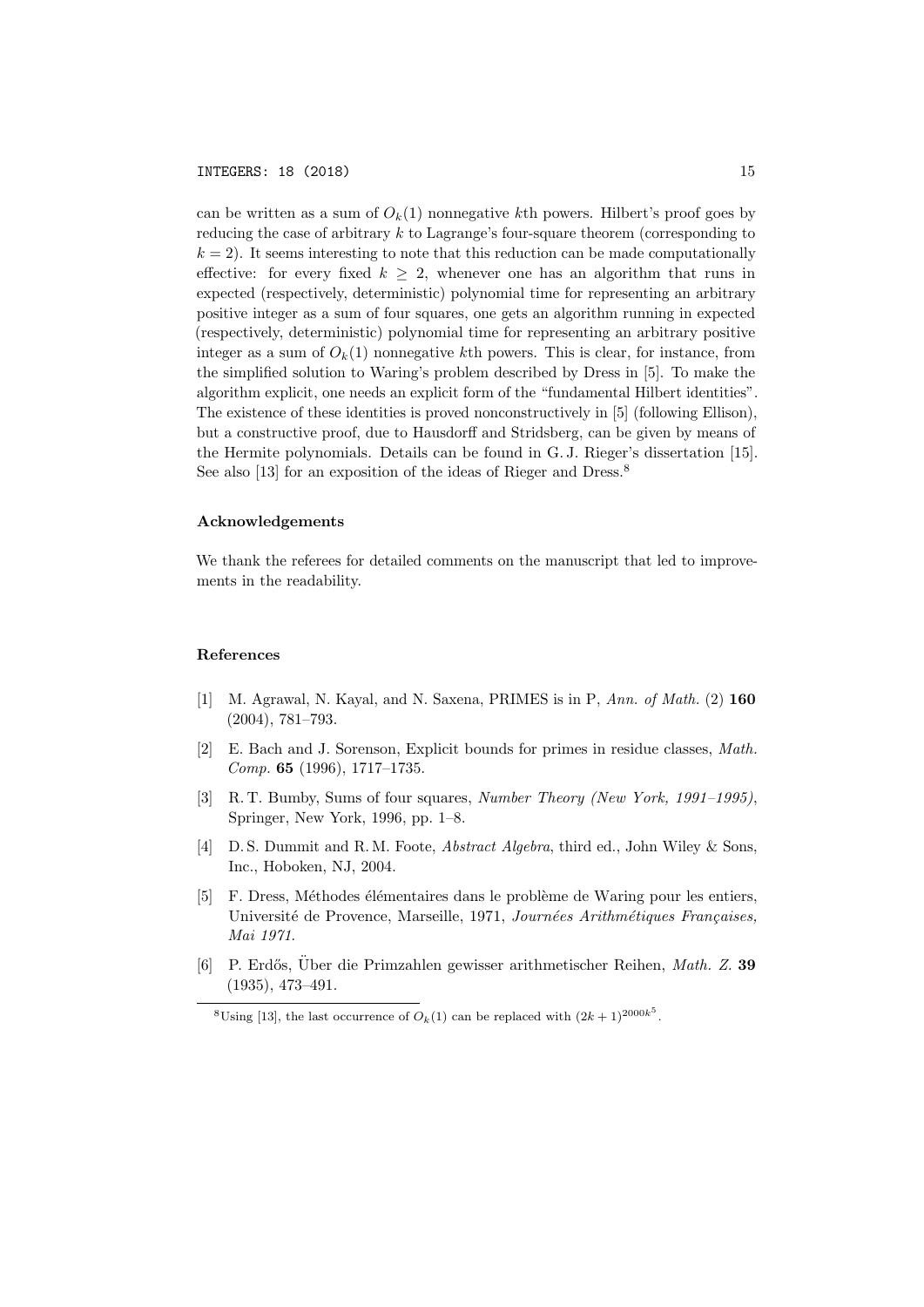can be written as a sum of  $O_k(1)$  nonnegative kth powers. Hilbert's proof goes by reducing the case of arbitrary k to Lagrange's four-square theorem (corresponding to  $k = 2$ ). It seems interesting to note that this reduction can be made computationally effective: for every fixed  $k \geq 2$ , whenever one has an algorithm that runs in expected (respectively, deterministic) polynomial time for representing an arbitrary positive integer as a sum of four squares, one gets an algorithm running in expected (respectively, deterministic) polynomial time for representing an arbitrary positive integer as a sum of  $O_k(1)$  nonnegative kth powers. This is clear, for instance, from the simplified solution to Waring's problem described by Dress in [5]. To make the algorithm explicit, one needs an explicit form of the "fundamental Hilbert identities". The existence of these identities is proved nonconstructively in [5] (following Ellison), but a constructive proof, due to Hausdorff and Stridsberg, can be given by means of the Hermite polynomials. Details can be found in G. J. Rieger's dissertation [15]. See also [13] for an exposition of the ideas of Rieger and Dress.<sup>8</sup>

## Acknowledgements

We thank the referees for detailed comments on the manuscript that led to improvements in the readability.

### References

- [1] M. Agrawal, N. Kayal, and N. Saxena, PRIMES is in P, Ann. of Math. (2) 160 (2004), 781–793.
- [2] E. Bach and J. Sorenson, Explicit bounds for primes in residue classes, Math. Comp. 65 (1996), 1717–1735.
- [3] R. T. Bumby, Sums of four squares, Number Theory (New York, 1991–1995), Springer, New York, 1996, pp. 1–8.
- [4] D. S. Dummit and R. M. Foote, Abstract Algebra, third ed., John Wiley & Sons, Inc., Hoboken, NJ, 2004.
- [5] F. Dress, Méthodes élémentaires dans le problème de Waring pour les entiers, Université de Provence, Marseille, 1971, Journées Arithmétiques Françaises, Mai 1971.
- [6] P. Erdős, Uber die Primzahlen gewisser arithmetischer Reihen, Math. Z. 39 (1935), 473–491.

<sup>&</sup>lt;sup>8</sup>Using [13], the last occurrence of  $O_k(1)$  can be replaced with  $(2k+1)^{2000k^5}$ .